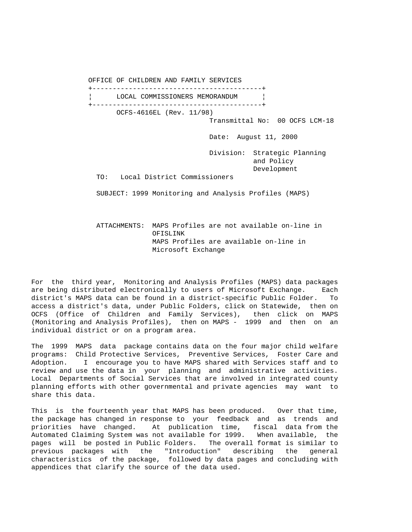OFFICE OF CHILDREN AND FAMILY SERVICES +------------------------------------------+ LOCAL COMMISSIONERS MEMORANDUM +------------------------------------------+ OCFS-4616EL (Rev. 11/98) Transmittal No: 00 OCFS LCM-18 Date: August 11, 2000 Division: Strategic Planning and Policy Development TO: Local District Commissioners SUBJECT: 1999 Monitoring and Analysis Profiles (MAPS)

 ATTACHMENTS: MAPS Profiles are not available on-line in OFISLINK MAPS Profiles are available on-line in Microsoft Exchange

For the third year, Monitoring and Analysis Profiles (MAPS) data packages are being distributed electronically to users of Microsoft Exchange. Each district's MAPS data can be found in a district-specific Public Folder. To access a district's data, under Public Folders, click on Statewide, then on OCFS (Office of Children and Family Services), then click on MAPS (Monitoring and Analysis Profiles), then on MAPS - 1999 and then on an individual district or on a program area.

The 1999 MAPS data package contains data on the four major child welfare programs: Child Protective Services, Preventive Services, Foster Care and Adoption. I encourage you to have MAPS shared with Services staff and to review and use the data in your planning and administrative activities. Local Departments of Social Services that are involved in integrated county planning efforts with other governmental and private agencies may want to share this data.

This is the fourteenth year that MAPS has been produced. Over that time, the package has changed in response to your feedback and as trends and priorities have changed. At publication time, fiscal data from the Automated Claiming System was not available for 1999. When available, the pages will be posted in Public Folders. The overall format is similar to previous packages with the "Introduction" describing the general characteristics of the package, followed by data pages and concluding with appendices that clarify the source of the data used.